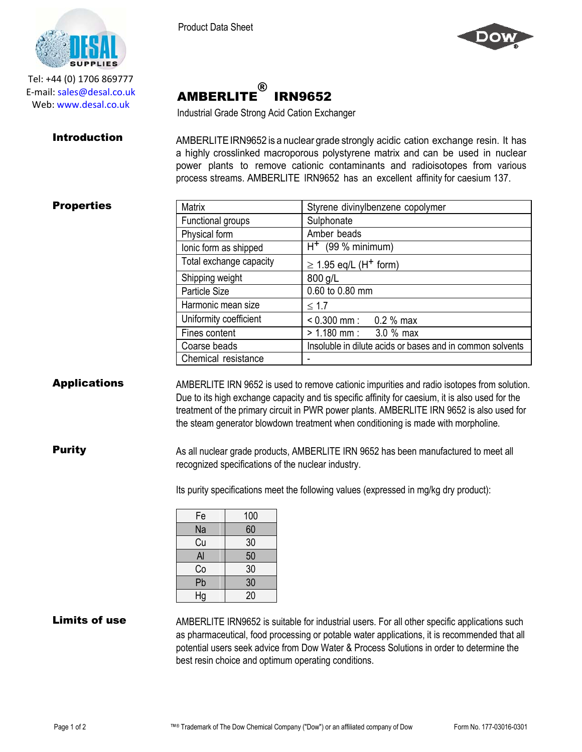AMBERLITE

®

Industrial Grade Strong Acid Cation Exchanger

IRN9652





Tel: +44 (0) 1706 869777 E‐mail: sales@desal.co.uk Web: www.desal.co.uk

**Introduction** AMBERLITE IRN9652 is a nuclear grade strongly acidic cation exchange resin. It has a highly crosslinked macroporous polystyrene matrix and can be used in nuclear power plants to remove cationic contaminants and radioisotopes from various process streams. AMBERLITE IRN9652 has an excellent affinity for caesium 137.

# **Properties**

| Matrix                  | Styrene divinylbenzene copolymer                          |  |
|-------------------------|-----------------------------------------------------------|--|
| Functional groups       | Sulphonate                                                |  |
| Physical form           | Amber beads                                               |  |
| lonic form as shipped   | $H^+$ (99 % minimum)                                      |  |
| Total exchange capacity | $\geq$ 1.95 eq/L (H <sup>+</sup> form)                    |  |
| Shipping weight         | 800 g/L                                                   |  |
| Particle Size           | 0.60 to 0.80 mm                                           |  |
| Harmonic mean size      | $\leq 1.7$                                                |  |
| Uniformity coefficient  | $< 0.300$ mm : 0.2 % max                                  |  |
| Fines content           | $> 1.180$ mm : 3.0 % max                                  |  |
| Coarse beads            | Insoluble in dilute acids or bases and in common solvents |  |
| Chemical resistance     |                                                           |  |

Applications AMBERLITE IRN 9652 is used to remove cationic impurities and radio isotopes from solution. Due to its high exchange capacity and tis specific affinity for caesium, it is also used for the treatment of the primary circuit in PWR power plants. AMBERLITE IRN 9652 is also used for the steam generator blowdown treatment when conditioning is made with morpholine.

**Purity** As all nuclear grade products, AMBERLITE IRN 9652 has been manufactured to meet all recognized specifications of the nuclear industry.

Its purity specifications meet the following values (expressed in mg/kg dry product):

| Fe | 100 |
|----|-----|
| Na | 60  |
| Cu | 30  |
| Al | 50  |
| Co | 30  |
| Pb | 30  |
| Hg | 20  |

Limits of use AMBERLITE IRN9652 is suitable for industrial users. For all other specific applications such as pharmaceutical, food processing or potable water applications, it is recommended that all potential users seek advice from Dow Water & Process Solutions in order to determine the best resin choice and optimum operating conditions.